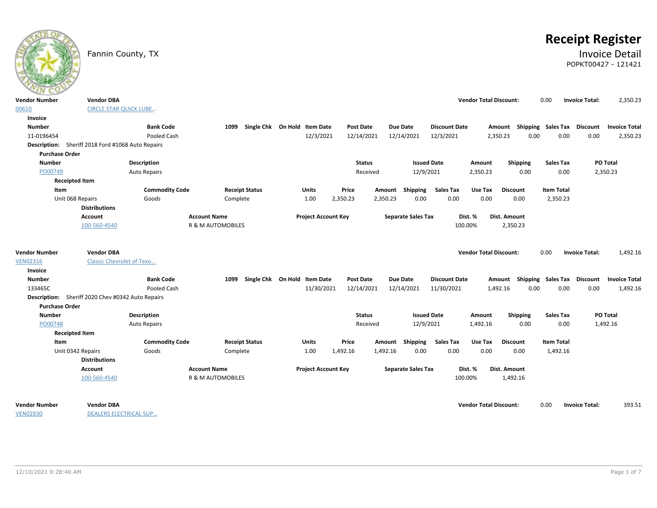|                       | Fannin County, TX                                 |                       |                              |                              |                  |               |                           |                      |                               |                                    |                   |                       | <b>Receipt Register</b><br><b>Invoice Detail</b><br>POPKT00427 - 121421 |
|-----------------------|---------------------------------------------------|-----------------------|------------------------------|------------------------------|------------------|---------------|---------------------------|----------------------|-------------------------------|------------------------------------|-------------------|-----------------------|-------------------------------------------------------------------------|
| <b>Vendor Number</b>  | <b>Vendor DBA</b>                                 |                       |                              |                              |                  |               |                           |                      | <b>Vendor Total Discount:</b> |                                    | 0.00              | <b>Invoice Total:</b> | 2,350.23                                                                |
| 00610                 | <b>CIRCLE STAR QUICK LUBE</b>                     |                       |                              |                              |                  |               |                           |                      |                               |                                    |                   |                       |                                                                         |
| Invoice               |                                                   |                       |                              |                              |                  |               |                           |                      |                               |                                    |                   |                       |                                                                         |
| <b>Number</b>         |                                                   | <b>Bank Code</b>      | 1099                         | Single Chk On Hold Item Date | Post Date        |               | <b>Due Date</b>           | <b>Discount Date</b> |                               | Amount Shipping Sales Tax Discount |                   |                       | <b>Invoice Total</b>                                                    |
| 11-0196454            |                                                   | Pooled Cash           |                              | 12/3/2021                    | 12/14/2021       |               | 12/14/2021                | 12/3/2021            |                               | 2,350.23<br>0.00                   | 0.00              | 0.00                  | 2,350.23                                                                |
|                       | Description: Sheriff 2018 Ford #1068 Auto Repairs |                       |                              |                              |                  |               |                           |                      |                               |                                    |                   |                       |                                                                         |
| <b>Purchase Order</b> |                                                   |                       |                              |                              |                  |               |                           |                      |                               |                                    |                   |                       |                                                                         |
| <b>Number</b>         |                                                   | <b>Description</b>    |                              |                              |                  | <b>Status</b> | <b>Issued Date</b>        |                      | Amount                        | <b>Shipping</b>                    | <b>Sales Tax</b>  |                       | PO Total                                                                |
| PO00749               |                                                   | <b>Auto Repairs</b>   |                              |                              |                  | Received      | 12/9/2021                 |                      | 2,350.23                      | 0.00                               | 0.00              |                       | 2,350.23                                                                |
| <b>Receipted Item</b> |                                                   |                       |                              |                              |                  |               |                           |                      |                               |                                    |                   |                       |                                                                         |
| Item                  |                                                   | <b>Commodity Code</b> | <b>Receipt Status</b>        | Units                        | Price            |               | Amount Shipping           | <b>Sales Tax</b>     | Use Tax                       | <b>Discount</b>                    | <b>Item Total</b> |                       |                                                                         |
|                       | Unit 068 Repairs                                  | Goods                 | Complete                     | 1.00                         | 2,350.23         | 2,350.23      | 0.00                      | 0.00                 | 0.00                          | 0.00                               | 2,350.23          |                       |                                                                         |
|                       | <b>Distributions</b>                              |                       |                              |                              |                  |               |                           |                      |                               |                                    |                   |                       |                                                                         |
|                       | <b>Account</b>                                    |                       | <b>Account Name</b>          | <b>Project Account Key</b>   |                  |               | <b>Separate Sales Tax</b> |                      | Dist. %                       | Dist. Amount                       |                   |                       |                                                                         |
|                       | 100-560-4540                                      |                       | <b>R &amp; M AUTOMOBILES</b> |                              |                  |               |                           |                      | 100.00%                       | 2,350.23                           |                   |                       |                                                                         |
|                       |                                                   |                       |                              |                              |                  |               |                           |                      |                               |                                    |                   |                       |                                                                         |
| <b>Vendor Number</b>  | <b>Vendor DBA</b>                                 |                       |                              |                              |                  |               |                           |                      | <b>Vendor Total Discount:</b> |                                    | 0.00              | <b>Invoice Total:</b> | 1,492.16                                                                |
| <b>VEN02316</b>       | <b>Classic Chevrolet of Texo</b>                  |                       |                              |                              |                  |               |                           |                      |                               |                                    |                   |                       |                                                                         |
| Invoice               |                                                   |                       |                              |                              |                  |               |                           |                      |                               |                                    |                   |                       |                                                                         |
| <b>Number</b>         |                                                   | <b>Bank Code</b>      | 1099                         | Single Chk On Hold Item Date | <b>Post Date</b> |               | <b>Due Date</b>           | <b>Discount Date</b> |                               | Amount Shipping Sales Tax          |                   | <b>Discount</b>       | <b>Invoice Total</b>                                                    |
| 133465C               |                                                   | Pooled Cash           |                              | 11/30/2021                   | 12/14/2021       |               | 12/14/2021                | 11/30/2021           |                               | 0.00<br>1,492.16                   | 0.00              | 0.00                  | 1,492.16                                                                |
|                       | Description: Sheriff 2020 Chev #0342 Auto Repairs |                       |                              |                              |                  |               |                           |                      |                               |                                    |                   |                       |                                                                         |
| <b>Purchase Order</b> |                                                   |                       |                              |                              |                  |               |                           |                      |                               |                                    |                   |                       |                                                                         |
| <b>Number</b>         |                                                   | <b>Description</b>    |                              |                              |                  | <b>Status</b> | <b>Issued Date</b>        |                      | <b>Amount</b>                 | Shipping                           | <b>Sales Tax</b>  |                       | PO Total                                                                |
| PO00748               |                                                   | <b>Auto Repairs</b>   |                              |                              |                  | Received      | 12/9/2021                 |                      | 1,492.16                      | 0.00                               | 0.00              |                       | 1,492.16                                                                |
| <b>Receipted Item</b> |                                                   |                       |                              |                              |                  |               |                           |                      |                               |                                    |                   |                       |                                                                         |
| Item                  |                                                   | <b>Commodity Code</b> | <b>Receipt Status</b>        | <b>Units</b>                 | Price            | Amount        | Shipping                  | <b>Sales Tax</b>     | Use Tax                       | <b>Discount</b>                    | <b>Item Total</b> |                       |                                                                         |
|                       | Unit 0342 Repairs                                 | Goods                 | Complete                     | 1.00                         | 1,492.16         | 1,492.16      | 0.00                      | 0.00                 | 0.00                          | 0.00                               | 1,492.16          |                       |                                                                         |
|                       | <b>Distributions</b>                              |                       |                              |                              |                  |               |                           |                      |                               |                                    |                   |                       |                                                                         |
|                       | Account                                           |                       | <b>Account Name</b>          | <b>Project Account Key</b>   |                  |               | <b>Separate Sales Tax</b> |                      | Dist. %                       | Dist. Amount                       |                   |                       |                                                                         |
|                       | 100-560-4540                                      |                       | R & M AUTOMOBILES            |                              |                  |               |                           |                      | 100.00%                       | 1,492.16                           |                   |                       |                                                                         |
| <b>Vendor Number</b>  | <b>Vendor DBA</b>                                 |                       |                              |                              |                  |               |                           |                      | <b>Vendor Total Discount:</b> |                                    | 0.00              | <b>Invoice Total:</b> | 393.51                                                                  |
|                       |                                                   |                       |                              |                              |                  |               |                           |                      |                               |                                    |                   |                       |                                                                         |

VEN02830

DEALERS ELECTRICAL SUP…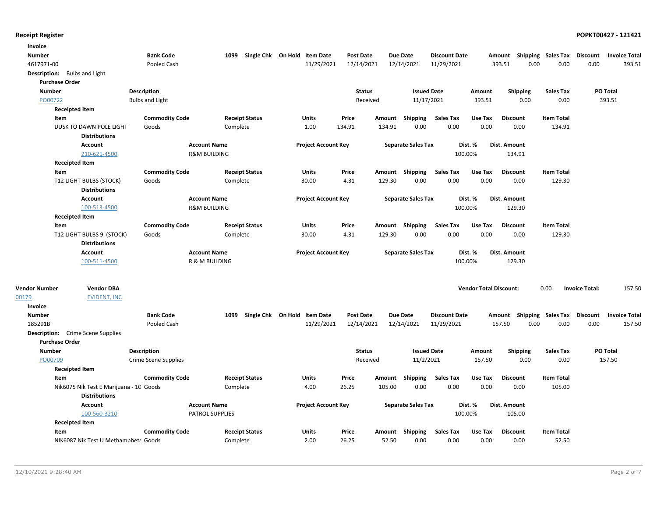| Invoice               |                                          |                        |                                                  |                       |                              |                  |          |                           |                      |                               |                                    |                    |                       |                      |
|-----------------------|------------------------------------------|------------------------|--------------------------------------------------|-----------------------|------------------------------|------------------|----------|---------------------------|----------------------|-------------------------------|------------------------------------|--------------------|-----------------------|----------------------|
| <b>Number</b>         |                                          | <b>Bank Code</b>       | 1099                                             |                       | Single Chk On Hold Item Date | <b>Post Date</b> |          | <b>Due Date</b>           | <b>Discount Date</b> |                               | Amount                             | Shipping Sales Tax | Discount              | <b>Invoice Total</b> |
| 4617971-00            |                                          | Pooled Cash            |                                                  |                       | 11/29/2021                   | 12/14/2021       |          | 12/14/2021                | 11/29/2021           |                               | 393.51<br>0.00                     | 0.00               | 0.00                  | 393.51               |
|                       | Description: Bulbs and Light             |                        |                                                  |                       |                              |                  |          |                           |                      |                               |                                    |                    |                       |                      |
| <b>Purchase Order</b> |                                          |                        |                                                  |                       |                              |                  |          |                           |                      |                               |                                    |                    |                       |                      |
| Number                |                                          | Description            |                                                  |                       |                              | <b>Status</b>    |          | <b>Issued Date</b>        |                      | Amount                        | Shipping                           | Sales Tax          |                       | PO Total             |
| PO00722               |                                          | <b>Bulbs and Light</b> |                                                  |                       |                              |                  | Received | 11/17/2021                |                      | 393.51                        | 0.00                               | 0.00               |                       | 393.51               |
|                       | <b>Receipted Item</b>                    |                        |                                                  |                       |                              |                  |          |                           |                      |                               |                                    |                    |                       |                      |
| Item                  |                                          | <b>Commodity Code</b>  |                                                  | <b>Receipt Status</b> | Units                        | Price            |          | Amount Shipping           | <b>Sales Tax</b>     | Use Tax                       | <b>Discount</b>                    | <b>Item Total</b>  |                       |                      |
|                       | DUSK TO DAWN POLE LIGHT                  | Goods                  | Complete                                         |                       | 1.00                         | 134.91           | 134.91   | 0.00                      | 0.00                 | 0.00                          | 0.00                               | 134.91             |                       |                      |
|                       | <b>Distributions</b>                     |                        |                                                  |                       |                              |                  |          |                           |                      |                               |                                    |                    |                       |                      |
|                       | Account                                  |                        | <b>Account Name</b>                              |                       | <b>Project Account Key</b>   |                  |          | <b>Separate Sales Tax</b> |                      | Dist. %                       | <b>Dist. Amount</b>                |                    |                       |                      |
|                       | 210-621-4500                             |                        | <b>R&amp;M BUILDING</b>                          |                       |                              |                  |          |                           | 100.00%              |                               | 134.91                             |                    |                       |                      |
|                       | <b>Receipted Item</b>                    |                        |                                                  |                       |                              |                  |          |                           |                      |                               |                                    |                    |                       |                      |
| Item                  |                                          | <b>Commodity Code</b>  |                                                  | <b>Receipt Status</b> | Units                        | Price            |          | Amount Shipping           | Sales Tax            | Use Tax                       | <b>Discount</b>                    | <b>Item Total</b>  |                       |                      |
|                       | T12 LIGHT BULBS (STOCK)                  | Goods                  | Complete                                         |                       | 30.00                        | 4.31             | 129.30   | 0.00                      | 0.00                 | 0.00                          | 0.00                               | 129.30             |                       |                      |
|                       | <b>Distributions</b>                     |                        |                                                  |                       |                              |                  |          |                           |                      |                               |                                    |                    |                       |                      |
|                       | Account                                  |                        | <b>Account Name</b>                              |                       | <b>Project Account Key</b>   |                  |          | <b>Separate Sales Tax</b> |                      | Dist. %                       | <b>Dist. Amount</b>                |                    |                       |                      |
|                       | 100-513-4500                             |                        | <b>R&amp;M BUILDING</b>                          |                       |                              |                  |          |                           | 100.00%              |                               | 129.30                             |                    |                       |                      |
|                       | <b>Receipted Item</b>                    |                        |                                                  |                       |                              |                  |          |                           |                      |                               |                                    |                    |                       |                      |
| Item                  |                                          | <b>Commodity Code</b>  |                                                  | <b>Receipt Status</b> | Units                        | Price            |          | Amount Shipping           | <b>Sales Tax</b>     | Use Tax                       | <b>Discount</b>                    | <b>Item Total</b>  |                       |                      |
|                       | T12 LIGHT BULBS 9 (STOCK)                | Goods                  | Complete                                         |                       | 30.00                        | 4.31             | 129.30   | 0.00                      | 0.00                 | 0.00                          | 0.00                               | 129.30             |                       |                      |
|                       | <b>Distributions</b>                     |                        |                                                  |                       |                              |                  |          |                           |                      |                               |                                    |                    |                       |                      |
|                       | Account                                  |                        | <b>Account Name</b><br><b>R &amp; M BUILDING</b> |                       | <b>Project Account Key</b>   |                  |          | <b>Separate Sales Tax</b> |                      | Dist. %                       | <b>Dist. Amount</b>                |                    |                       |                      |
|                       | 100-511-4500                             |                        |                                                  |                       |                              |                  |          |                           | 100.00%              |                               | 129.30                             |                    |                       |                      |
| <b>Vendor Number</b>  | <b>Vendor DBA</b>                        |                        |                                                  |                       |                              |                  |          |                           |                      | <b>Vendor Total Discount:</b> |                                    | 0.00               | <b>Invoice Total:</b> | 157.50               |
| 00179                 | <b>EVIDENT, INC</b>                      |                        |                                                  |                       |                              |                  |          |                           |                      |                               |                                    |                    |                       |                      |
| Invoice               |                                          |                        |                                                  |                       |                              |                  |          |                           |                      |                               |                                    |                    |                       |                      |
| <b>Number</b>         |                                          | <b>Bank Code</b>       | 1099                                             |                       | Single Chk On Hold Item Date | <b>Post Date</b> |          | <b>Due Date</b>           | <b>Discount Date</b> |                               | Amount Shipping Sales Tax Discount |                    |                       | <b>Invoice Total</b> |
| 185291B               |                                          | Pooled Cash            |                                                  |                       | 11/29/2021                   | 12/14/2021       |          | 12/14/2021                | 11/29/2021           |                               | 157.50<br>0.00                     | 0.00               | 0.00                  | 157.50               |
|                       | <b>Description:</b> Crime Scene Supplies |                        |                                                  |                       |                              |                  |          |                           |                      |                               |                                    |                    |                       |                      |
| <b>Purchase Order</b> |                                          |                        |                                                  |                       |                              |                  |          |                           |                      |                               |                                    |                    |                       |                      |
| <b>Number</b>         |                                          | Description            |                                                  |                       |                              | <b>Status</b>    |          | <b>Issued Date</b>        |                      | Amount                        | Shipping                           | <b>Sales Tax</b>   |                       | PO Total             |
| PO00709               |                                          | Crime Scene Supplies   |                                                  |                       |                              |                  | Received | 11/2/2021                 |                      | 157.50                        | 0.00                               | 0.00               |                       | 157.50               |
|                       | <b>Receipted Item</b>                    |                        |                                                  |                       |                              |                  |          |                           |                      |                               |                                    |                    |                       |                      |
| Item                  |                                          | <b>Commodity Code</b>  |                                                  | <b>Receipt Status</b> | Units                        | Price            | Amount   | Shipping                  | <b>Sales Tax</b>     | Use Tax                       | <b>Discount</b>                    | <b>Item Total</b>  |                       |                      |
|                       | Nik6075 Nik Test E Marijuana - 10 Goods  |                        | Complete                                         |                       | 4.00                         | 26.25            | 105.00   | 0.00                      | 0.00                 | 0.00                          | 0.00                               | 105.00             |                       |                      |
|                       | <b>Distributions</b>                     |                        |                                                  |                       |                              |                  |          |                           |                      |                               |                                    |                    |                       |                      |
|                       | Account                                  |                        | <b>Account Name</b>                              |                       | <b>Project Account Key</b>   |                  |          | <b>Separate Sales Tax</b> |                      | Dist. %                       | Dist. Amount                       |                    |                       |                      |
|                       | 100-560-3210                             |                        | PATROL SUPPLIES                                  |                       |                              |                  |          |                           | 100.00%              |                               | 105.00                             |                    |                       |                      |
|                       | <b>Receipted Item</b>                    |                        |                                                  |                       |                              |                  |          |                           |                      |                               |                                    |                    |                       |                      |
| Item                  |                                          | <b>Commodity Code</b>  |                                                  | <b>Receipt Status</b> | Units                        | Price            |          | Amount Shipping           | <b>Sales Tax</b>     | Use Tax                       | <b>Discount</b>                    | <b>Item Total</b>  |                       |                      |
|                       | NIK6087 Nik Test U Methampheta Goods     |                        | Complete                                         |                       | 2.00                         | 26.25            | 52.50    | 0.00                      | 0.00                 | 0.00                          | 0.00                               | 52.50              |                       |                      |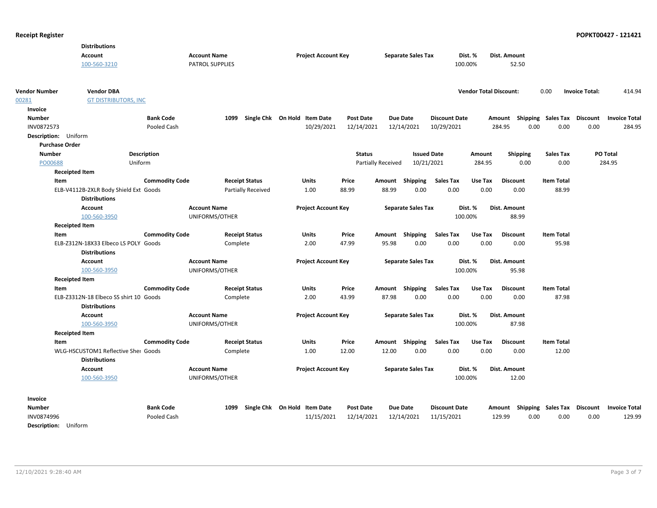| <b>Account</b><br><b>Account Name</b><br><b>Project Account Key</b><br><b>Separate Sales Tax</b><br>Dist. %<br>Dist. Amount<br>100-560-3210<br>PATROL SUPPLIES<br>100.00%<br>52.50<br><b>Vendor Number</b><br><b>Vendor DBA</b><br><b>Vendor Total Discount:</b><br>0.00<br><b>Invoice Total:</b><br>00281<br><b>GT DISTRIBUTORS, INC</b> |        |  |  |  |  |  |  |  |         |
|-------------------------------------------------------------------------------------------------------------------------------------------------------------------------------------------------------------------------------------------------------------------------------------------------------------------------------------------|--------|--|--|--|--|--|--|--|---------|
|                                                                                                                                                                                                                                                                                                                                           |        |  |  |  |  |  |  |  |         |
|                                                                                                                                                                                                                                                                                                                                           |        |  |  |  |  |  |  |  |         |
|                                                                                                                                                                                                                                                                                                                                           |        |  |  |  |  |  |  |  |         |
|                                                                                                                                                                                                                                                                                                                                           | 414.94 |  |  |  |  |  |  |  |         |
|                                                                                                                                                                                                                                                                                                                                           |        |  |  |  |  |  |  |  |         |
|                                                                                                                                                                                                                                                                                                                                           |        |  |  |  |  |  |  |  | Invoice |
| <b>Bank Code</b><br>1099<br>Single Chk On Hold Item Date<br><b>Post Date</b><br><b>Due Date</b><br><b>Discount Date</b><br>Amount Shipping Sales Tax<br><b>Discount</b><br><b>Invoice Total</b><br><b>Number</b>                                                                                                                          |        |  |  |  |  |  |  |  |         |
| 12/14/2021<br>0.00<br>0.00<br>INV0872573<br>Pooled Cash<br>10/29/2021<br>12/14/2021<br>10/29/2021<br>284.95<br>0.00                                                                                                                                                                                                                       | 284.95 |  |  |  |  |  |  |  |         |
| Description: Uniform                                                                                                                                                                                                                                                                                                                      |        |  |  |  |  |  |  |  |         |
| <b>Purchase Order</b>                                                                                                                                                                                                                                                                                                                     |        |  |  |  |  |  |  |  |         |
| Description<br><b>Status</b><br><b>Issued Date</b><br><b>Sales Tax</b><br>PO Total<br><b>Number</b><br>Amount<br><b>Shipping</b>                                                                                                                                                                                                          |        |  |  |  |  |  |  |  |         |
| 10/21/2021<br>0.00<br>284.95<br>PO00688<br>Uniform<br><b>Partially Received</b><br>284.95<br>0.00                                                                                                                                                                                                                                         |        |  |  |  |  |  |  |  |         |
| <b>Receipted Item</b>                                                                                                                                                                                                                                                                                                                     |        |  |  |  |  |  |  |  |         |
| <b>Commodity Code</b><br><b>Receipt Status</b><br><b>Units</b><br>Price<br>Amount Shipping<br><b>Sales Tax</b><br>Use Tax<br><b>Discount</b><br><b>Item Total</b><br>Item                                                                                                                                                                 |        |  |  |  |  |  |  |  |         |
| 0.00<br>ELB-V4112B-2XLR Body Shield Ext Goods<br><b>Partially Received</b><br>88.99<br>88.99<br>0.00<br>0.00<br>88.99<br>1.00<br>0.00                                                                                                                                                                                                     |        |  |  |  |  |  |  |  |         |
| <b>Distributions</b>                                                                                                                                                                                                                                                                                                                      |        |  |  |  |  |  |  |  |         |
| <b>Account</b><br><b>Account Name</b><br><b>Project Account Key</b><br><b>Separate Sales Tax</b><br>Dist. %<br>Dist. Amount                                                                                                                                                                                                               |        |  |  |  |  |  |  |  |         |
| 100-560-3950<br>UNIFORMS/OTHER<br>100.00%<br>88.99                                                                                                                                                                                                                                                                                        |        |  |  |  |  |  |  |  |         |
| <b>Receipted Item</b>                                                                                                                                                                                                                                                                                                                     |        |  |  |  |  |  |  |  |         |
| <b>Sales Tax</b><br><b>Item Total</b><br><b>Commodity Code</b><br><b>Receipt Status</b><br><b>Units</b><br>Price<br>Amount Shipping<br>Use Tax<br><b>Discount</b><br>Item                                                                                                                                                                 |        |  |  |  |  |  |  |  |         |
| ELB-Z312N-18X33 Elbeco LS POLY Goods<br>2.00<br>47.99<br>95.98<br>0.00<br>0.00<br>0.00<br>0.00<br>95.98<br>Complete                                                                                                                                                                                                                       |        |  |  |  |  |  |  |  |         |
| <b>Distributions</b>                                                                                                                                                                                                                                                                                                                      |        |  |  |  |  |  |  |  |         |
| Account<br><b>Account Name</b><br><b>Project Account Key</b><br><b>Separate Sales Tax</b><br>Dist. %<br>Dist. Amount                                                                                                                                                                                                                      |        |  |  |  |  |  |  |  |         |
| 100.00%<br>100-560-3950<br>UNIFORMS/OTHER<br>95.98                                                                                                                                                                                                                                                                                        |        |  |  |  |  |  |  |  |         |
| <b>Receipted Item</b>                                                                                                                                                                                                                                                                                                                     |        |  |  |  |  |  |  |  |         |
| <b>Commodity Code</b><br><b>Receipt Status</b><br><b>Units</b><br>Price<br>Amount Shipping<br><b>Sales Tax</b><br>Use Tax<br><b>Discount</b><br><b>Item Total</b><br>Item                                                                                                                                                                 |        |  |  |  |  |  |  |  |         |
| 0.00<br>0.00<br>0.00<br>87.98<br>ELB-Z3312N-18 Elbeco SS shirt 10 Goods<br>Complete<br>2.00<br>43.99<br>87.98<br>0.00                                                                                                                                                                                                                     |        |  |  |  |  |  |  |  |         |
| <b>Distributions</b>                                                                                                                                                                                                                                                                                                                      |        |  |  |  |  |  |  |  |         |
| <b>Account Name</b><br><b>Project Account Key</b><br><b>Separate Sales Tax</b><br>Dist. %<br>Dist. Amount<br><b>Account</b>                                                                                                                                                                                                               |        |  |  |  |  |  |  |  |         |
| 100-560-3950<br>UNIFORMS/OTHER<br>100.00%<br>87.98                                                                                                                                                                                                                                                                                        |        |  |  |  |  |  |  |  |         |
| <b>Receipted Item</b>                                                                                                                                                                                                                                                                                                                     |        |  |  |  |  |  |  |  |         |
| <b>Commodity Code</b><br><b>Receipt Status</b><br>Amount Shipping<br><b>Sales Tax</b><br><b>Item Total</b><br>Item<br><b>Units</b><br>Price<br>Use Tax<br><b>Discount</b>                                                                                                                                                                 |        |  |  |  |  |  |  |  |         |
| 0.00<br>WLG-HSCUSTOM1 Reflective Sher Goods<br>12.00<br>0.00<br>0.00<br>12.00<br>Complete<br>1.00<br>12.00<br>0.00                                                                                                                                                                                                                        |        |  |  |  |  |  |  |  |         |
| <b>Distributions</b>                                                                                                                                                                                                                                                                                                                      |        |  |  |  |  |  |  |  |         |
| <b>Account</b><br><b>Account Name</b><br><b>Project Account Key</b><br><b>Separate Sales Tax</b><br>Dist. %<br>Dist. Amount                                                                                                                                                                                                               |        |  |  |  |  |  |  |  |         |
| 100-560-3950<br>UNIFORMS/OTHER<br>12.00<br>100.00%                                                                                                                                                                                                                                                                                        |        |  |  |  |  |  |  |  |         |
| Invoice                                                                                                                                                                                                                                                                                                                                   |        |  |  |  |  |  |  |  |         |
| <b>Bank Code</b><br>Single Chk On Hold Item Date<br><b>Post Date</b><br><b>Due Date</b><br><b>Discount</b> Invoice Total<br><b>Number</b><br>1099<br><b>Discount Date</b><br>Amount Shipping Sales Tax                                                                                                                                    |        |  |  |  |  |  |  |  |         |
| 0.00<br>11/15/2021<br>12/14/2021<br>11/15/2021<br>129.99<br>0.00<br>0.00<br>INV0874996<br>Pooled Cash<br>12/14/2021                                                                                                                                                                                                                       | 129.99 |  |  |  |  |  |  |  |         |
| <b>Description:</b><br>Uniform                                                                                                                                                                                                                                                                                                            |        |  |  |  |  |  |  |  |         |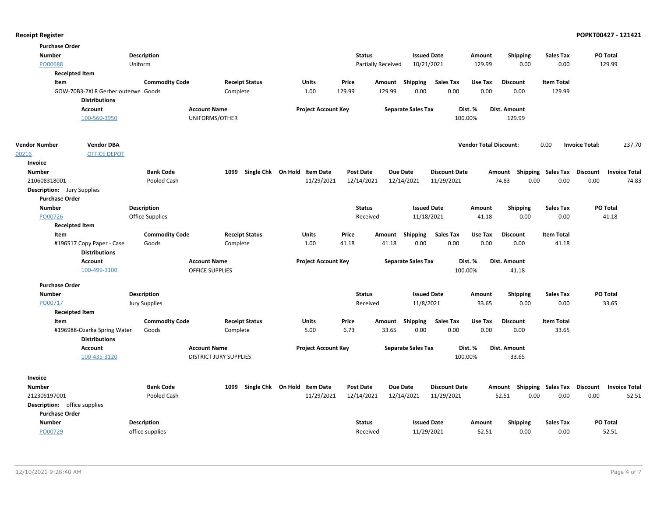| <b>Purchase Order</b>               |                                                   |                       |                               |                       |                              |                  |                           |                           |                      |                               |                 |                           |                       |                      |
|-------------------------------------|---------------------------------------------------|-----------------------|-------------------------------|-----------------------|------------------------------|------------------|---------------------------|---------------------------|----------------------|-------------------------------|-----------------|---------------------------|-----------------------|----------------------|
| <b>Number</b>                       |                                                   | Description           |                               |                       |                              | <b>Status</b>    |                           | <b>Issued Date</b>        |                      | Amount                        | <b>Shipping</b> | <b>Sales Tax</b>          | PO Total              |                      |
| PO00688                             |                                                   | Uniform               |                               |                       |                              |                  | <b>Partially Received</b> | 10/21/2021                |                      | 129.99                        | 0.00            | 0.00                      | 129.99                |                      |
|                                     | <b>Receipted Item</b>                             |                       |                               |                       |                              |                  |                           |                           |                      |                               |                 |                           |                       |                      |
| Item                                |                                                   | <b>Commodity Code</b> |                               | <b>Receipt Status</b> | <b>Units</b>                 | Price            |                           | Amount Shipping           | <b>Sales Tax</b>     | Use Tax                       | <b>Discount</b> | <b>Item Total</b>         |                       |                      |
|                                     | GOW-70B3-2XLR Gerber outerwe Goods                |                       | Complete                      |                       | 1.00                         | 129.99           | 129.99                    | 0.00                      | 0.00                 | 0.00                          | 0.00            | 129.99                    |                       |                      |
|                                     | <b>Distributions</b>                              |                       |                               |                       |                              |                  |                           |                           |                      |                               |                 |                           |                       |                      |
|                                     | <b>Account</b>                                    |                       | <b>Account Name</b>           |                       | <b>Project Account Key</b>   |                  |                           | <b>Separate Sales Tax</b> |                      | Dist. %                       | Dist. Amount    |                           |                       |                      |
|                                     | 100-560-3950                                      |                       | UNIFORMS/OTHER                |                       |                              |                  |                           |                           |                      | 100.00%                       | 129.99          |                           |                       |                      |
| <b>Vendor Number</b>                | <b>Vendor DBA</b>                                 |                       |                               |                       |                              |                  |                           |                           |                      | <b>Vendor Total Discount:</b> |                 | 0.00                      | <b>Invoice Total:</b> | 237.70               |
| 00216                               | <b>OFFICE DEPOT</b>                               |                       |                               |                       |                              |                  |                           |                           |                      |                               |                 |                           |                       |                      |
| Invoice                             |                                                   |                       |                               |                       |                              |                  |                           |                           |                      |                               |                 |                           |                       |                      |
| <b>Number</b>                       |                                                   | <b>Bank Code</b>      | 1099                          |                       | Single Chk On Hold Item Date | <b>Post Date</b> |                           | Due Date                  | <b>Discount Date</b> |                               | Amount          | Shipping Sales Tax        | <b>Discount</b>       | <b>Invoice Total</b> |
| 210608318001                        |                                                   | Pooled Cash           |                               |                       | 11/29/2021                   | 12/14/2021       |                           | 12/14/2021                | 11/29/2021           |                               | 0.00<br>74.83   | 0.00                      | 0.00                  | 74.83                |
| <b>Description:</b> Jury Supplies   |                                                   |                       |                               |                       |                              |                  |                           |                           |                      |                               |                 |                           |                       |                      |
| <b>Purchase Order</b>               |                                                   |                       |                               |                       |                              |                  |                           |                           |                      |                               |                 |                           |                       |                      |
| <b>Number</b>                       |                                                   | Description           |                               |                       |                              | <b>Status</b>    |                           | <b>Issued Date</b>        |                      | Amount                        | Shipping        | <b>Sales Tax</b>          | PO Total              |                      |
| PO00726                             |                                                   | Office Supplies       |                               |                       |                              | Received         |                           | 11/18/2021                |                      | 41.18                         | 0.00            | 0.00                      |                       | 41.18                |
|                                     | <b>Receipted Item</b>                             |                       |                               |                       |                              |                  |                           |                           |                      |                               |                 |                           |                       |                      |
| Item                                |                                                   | <b>Commodity Code</b> |                               | <b>Receipt Status</b> | Units                        | Price            | Amount                    | Shipping                  | <b>Sales Tax</b>     | Use Tax                       | <b>Discount</b> | <b>Item Total</b>         |                       |                      |
|                                     | #196517 Copy Paper - Case<br><b>Distributions</b> | Goods                 | Complete                      |                       | 1.00                         | 41.18            | 41.18                     | 0.00                      | 0.00                 | 0.00                          | 0.00            | 41.18                     |                       |                      |
|                                     | <b>Account</b>                                    |                       | <b>Account Name</b>           |                       | <b>Project Account Key</b>   |                  |                           | <b>Separate Sales Tax</b> |                      | Dist. %                       | Dist. Amount    |                           |                       |                      |
|                                     | 100-499-3100                                      |                       | <b>OFFICE SUPPLIES</b>        |                       |                              |                  |                           |                           |                      | 100.00%                       | 41.18           |                           |                       |                      |
| <b>Purchase Order</b>               |                                                   |                       |                               |                       |                              |                  |                           |                           |                      |                               |                 |                           |                       |                      |
| <b>Number</b>                       |                                                   | Description           |                               |                       |                              | <b>Status</b>    |                           | <b>Issued Date</b>        |                      | Amount                        | <b>Shipping</b> | <b>Sales Tax</b>          | PO Total              |                      |
| PO00717                             |                                                   | <b>Jury Supplies</b>  |                               |                       |                              | Received         |                           | 11/8/2021                 |                      | 33.65                         | 0.00            | 0.00                      |                       | 33.65                |
|                                     | <b>Receipted Item</b>                             |                       |                               |                       |                              |                  |                           |                           |                      |                               |                 |                           |                       |                      |
| Item                                |                                                   | <b>Commodity Code</b> |                               | <b>Receipt Status</b> | <b>Units</b>                 | Price            | Amount                    | Shipping                  | <b>Sales Tax</b>     | Use Tax                       | <b>Discount</b> | <b>Item Total</b>         |                       |                      |
|                                     | #196988-Ozarka Spring Water                       | Goods                 | Complete                      |                       | 5.00                         | 6.73             | 33.65                     | 0.00                      | 0.00                 | 0.00                          | 0.00            | 33.65                     |                       |                      |
|                                     | <b>Distributions</b>                              |                       |                               |                       |                              |                  |                           |                           |                      |                               |                 |                           |                       |                      |
|                                     | Account                                           |                       | <b>Account Name</b>           |                       | <b>Project Account Key</b>   |                  |                           | <b>Separate Sales Tax</b> |                      | Dist. %                       | Dist. Amount    |                           |                       |                      |
|                                     | 100-435-3120                                      |                       | <b>DISTRICT JURY SUPPLIES</b> |                       |                              |                  |                           |                           |                      | 100.00%                       | 33.65           |                           |                       |                      |
| Invoice                             |                                                   |                       |                               |                       |                              |                  |                           |                           |                      |                               |                 |                           |                       |                      |
| <b>Number</b>                       |                                                   | <b>Bank Code</b>      | 1099                          |                       | Single Chk On Hold Item Date | <b>Post Date</b> |                           | <b>Due Date</b>           | <b>Discount Date</b> |                               | Amount          | <b>Shipping Sales Tax</b> | <b>Discount</b>       | <b>Invoice Total</b> |
| 212305197001                        |                                                   | Pooled Cash           |                               |                       | 11/29/2021                   | 12/14/2021       |                           | 12/14/2021                | 11/29/2021           |                               | 52.51<br>0.00   | 0.00                      | 0.00                  | 52.51                |
| <b>Description:</b> office supplies |                                                   |                       |                               |                       |                              |                  |                           |                           |                      |                               |                 |                           |                       |                      |
| <b>Purchase Order</b>               |                                                   |                       |                               |                       |                              |                  |                           |                           |                      |                               |                 |                           |                       |                      |
| <b>Number</b>                       |                                                   | Description           |                               |                       |                              | <b>Status</b>    |                           | <b>Issued Date</b>        |                      | Amount                        | <b>Shipping</b> | <b>Sales Tax</b>          | PO Total              |                      |
| PO00729                             |                                                   | office supplies       |                               |                       |                              | Received         |                           | 11/29/2021                |                      | 52.51                         | 0.00            | 0.00                      | 52.51                 |                      |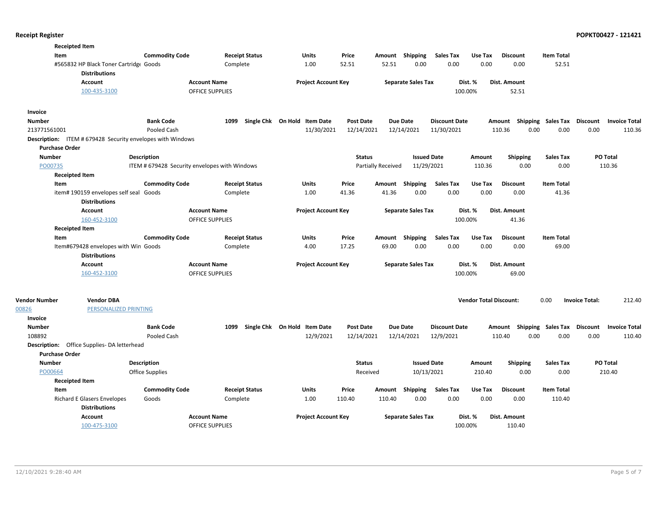| <b>Receipted Item</b> |                                                                |                        |                                               |                              |                            |                    |                           |                      |                               |                                                  |                   |                       |                 |
|-----------------------|----------------------------------------------------------------|------------------------|-----------------------------------------------|------------------------------|----------------------------|--------------------|---------------------------|----------------------|-------------------------------|--------------------------------------------------|-------------------|-----------------------|-----------------|
| Item                  |                                                                | <b>Commodity Code</b>  | <b>Receipt Status</b>                         | Units                        | Price                      | Amount             | Shipping                  | <b>Sales Tax</b>     | Use Tax                       | <b>Discount</b>                                  | <b>Item Total</b> |                       |                 |
|                       | #565832 HP Black Toner Cartridge Goods<br><b>Distributions</b> |                        | Complete                                      | 1.00                         | 52.51                      | 52.51              | 0.00                      | 0.00                 | 0.00                          | 0.00                                             | 52.51             |                       |                 |
|                       | <b>Account</b>                                                 |                        | <b>Account Name</b>                           |                              | <b>Project Account Key</b> |                    | <b>Separate Sales Tax</b> |                      | Dist. %                       | Dist. Amount                                     |                   |                       |                 |
|                       | 100-435-3100                                                   |                        | <b>OFFICE SUPPLIES</b>                        |                              |                            |                    |                           | 100.00%              |                               | 52.51                                            |                   |                       |                 |
| Invoice               |                                                                |                        |                                               |                              |                            |                    |                           |                      |                               |                                                  |                   |                       |                 |
| <b>Number</b>         |                                                                | <b>Bank Code</b>       | 1099                                          | Single Chk On Hold Item Date |                            | <b>Post Date</b>   | <b>Due Date</b>           | <b>Discount Date</b> |                               | Amount Shipping Sales Tax Discount Invoice Total |                   |                       |                 |
| 213771561001          |                                                                | Pooled Cash            |                                               |                              | 11/30/2021                 | 12/14/2021         | 12/14/2021                | 11/30/2021           |                               | 0.00<br>110.36                                   | 0.00              | 0.00                  | 110.36          |
| <b>Purchase Order</b> | Description: ITEM # 679428 Security envelopes with Windows     |                        |                                               |                              |                            |                    |                           |                      |                               |                                                  |                   |                       |                 |
| <b>Number</b>         |                                                                | <b>Description</b>     |                                               |                              |                            | <b>Status</b>      | <b>Issued Date</b>        |                      | Amount                        | <b>Shipping</b>                                  | <b>Sales Tax</b>  |                       | PO Total        |
| PO00735               |                                                                |                        | ITEM # 679428 Security envelopes with Windows |                              |                            | Partially Received | 11/29/2021                |                      | 110.36                        | 0.00                                             | 0.00              |                       | 110.36          |
| <b>Receipted Item</b> |                                                                |                        |                                               |                              |                            |                    |                           |                      |                               |                                                  |                   |                       |                 |
| Item                  |                                                                | <b>Commodity Code</b>  | <b>Receipt Status</b>                         | Units                        | Price                      |                    | Amount Shipping           | <b>Sales Tax</b>     | Use Tax                       | <b>Discount</b>                                  | <b>Item Total</b> |                       |                 |
|                       | item# 190159 envelopes self seal Goods<br><b>Distributions</b> |                        | Complete                                      | 1.00                         | 41.36                      | 41.36              | 0.00                      | 0.00                 | 0.00                          | 0.00                                             | 41.36             |                       |                 |
|                       | <b>Account</b>                                                 |                        | <b>Account Name</b>                           |                              | <b>Project Account Key</b> |                    | <b>Separate Sales Tax</b> |                      | Dist. %                       | <b>Dist. Amount</b>                              |                   |                       |                 |
|                       | 160-452-3100                                                   |                        | OFFICE SUPPLIES                               |                              |                            |                    |                           | 100.00%              |                               | 41.36                                            |                   |                       |                 |
| <b>Receipted Item</b> |                                                                |                        |                                               |                              |                            |                    |                           |                      |                               |                                                  |                   |                       |                 |
| Item                  |                                                                | <b>Commodity Code</b>  | <b>Receipt Status</b>                         | Units                        | Price                      |                    | Amount Shipping           | <b>Sales Tax</b>     | Use Tax                       | <b>Discount</b>                                  | <b>Item Total</b> |                       |                 |
|                       | Item#679428 envelopes with Win Goods<br><b>Distributions</b>   |                        | Complete                                      | 4.00                         | 17.25                      | 69.00              | 0.00                      | 0.00                 | 0.00                          | 0.00                                             | 69.00             |                       |                 |
|                       | Account                                                        |                        | <b>Account Name</b>                           |                              | <b>Project Account Key</b> |                    | <b>Separate Sales Tax</b> |                      | Dist. %                       | Dist. Amount                                     |                   |                       |                 |
|                       | 160-452-3100                                                   |                        | OFFICE SUPPLIES                               |                              |                            |                    |                           | 100.00%              |                               | 69.00                                            |                   |                       |                 |
| <b>Vendor Number</b>  | <b>Vendor DBA</b>                                              |                        |                                               |                              |                            |                    |                           |                      | <b>Vendor Total Discount:</b> |                                                  | 0.00              | <b>Invoice Total:</b> | 212.40          |
| 00826                 | PERSONALIZED PRINTING                                          |                        |                                               |                              |                            |                    |                           |                      |                               |                                                  |                   |                       |                 |
| Invoice               |                                                                |                        |                                               |                              |                            |                    |                           |                      |                               |                                                  |                   |                       |                 |
| <b>Number</b>         |                                                                | <b>Bank Code</b>       | 1099                                          | Single Chk On Hold Item Date |                            | <b>Post Date</b>   | <b>Due Date</b>           | <b>Discount Date</b> |                               | Amount Shipping Sales Tax Discount Invoice Total |                   |                       |                 |
| 108892                |                                                                | Pooled Cash            |                                               |                              | 12/9/2021                  | 12/14/2021         | 12/14/2021                | 12/9/2021            |                               | 110.40<br>0.00                                   | 0.00              | 0.00                  | 110.40          |
|                       | Description: Office Supplies-DA letterhead                     |                        |                                               |                              |                            |                    |                           |                      |                               |                                                  |                   |                       |                 |
| <b>Purchase Order</b> |                                                                |                        |                                               |                              |                            |                    |                           |                      |                               |                                                  |                   |                       |                 |
| <b>Number</b>         |                                                                | <b>Description</b>     |                                               |                              |                            | <b>Status</b>      | <b>Issued Date</b>        |                      | Amount                        | <b>Shipping</b>                                  | <b>Sales Tax</b>  |                       | <b>PO Total</b> |
| PO00664               |                                                                | <b>Office Supplies</b> |                                               |                              |                            | Received           | 10/13/2021                |                      | 210.40                        | 0.00                                             | 0.00              |                       | 210.40          |
| <b>Receipted Item</b> |                                                                |                        |                                               |                              |                            |                    |                           |                      |                               |                                                  |                   |                       |                 |
| Item                  |                                                                | <b>Commodity Code</b>  | <b>Receipt Status</b>                         | Units                        | Price                      | Amount             | Shipping                  | Sales Tax            | Use Tax                       | <b>Discount</b>                                  | <b>Item Total</b> |                       |                 |
|                       | <b>Richard E Glasers Envelopes</b><br><b>Distributions</b>     | Goods                  | Complete                                      | 1.00                         | 110.40                     | 110.40             | 0.00                      | 0.00                 | 0.00                          | 0.00                                             | 110.40            |                       |                 |
|                       | <b>Account</b>                                                 |                        | <b>Account Name</b>                           |                              | <b>Project Account Key</b> |                    | <b>Separate Sales Tax</b> |                      | Dist. %                       | Dist. Amount                                     |                   |                       |                 |
|                       | 100-475-3100                                                   |                        | <b>OFFICE SUPPLIES</b>                        |                              |                            |                    |                           | 100.00%              |                               | 110.40                                           |                   |                       |                 |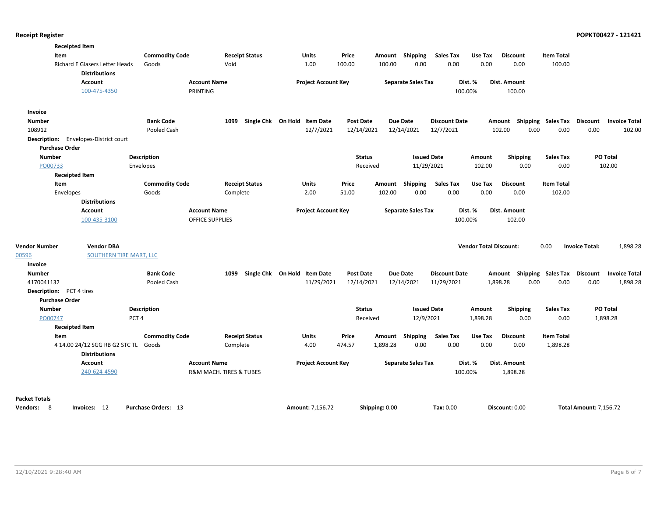|                                 | <b>Receipted Item</b>                                  |                       |                         |                       |                              |                  |                |                           |                      |                               |                                    |                    |                               |                      |
|---------------------------------|--------------------------------------------------------|-----------------------|-------------------------|-----------------------|------------------------------|------------------|----------------|---------------------------|----------------------|-------------------------------|------------------------------------|--------------------|-------------------------------|----------------------|
| Item                            |                                                        | <b>Commodity Code</b> |                         | <b>Receipt Status</b> | Units                        | Price            |                | Amount Shipping           | <b>Sales Tax</b>     | Use Tax                       | <b>Discount</b>                    | <b>Item Total</b>  |                               |                      |
|                                 | Richard E Glasers Letter Heads<br><b>Distributions</b> | Goods                 | Void                    |                       | 1.00                         | 100.00           | 100.00         | 0.00                      | 0.00                 | 0.00                          | 0.00                               | 100.00             |                               |                      |
|                                 | <b>Account</b>                                         |                       | <b>Account Name</b>     |                       | <b>Project Account Key</b>   |                  |                | <b>Separate Sales Tax</b> |                      | Dist. %                       | Dist. Amount                       |                    |                               |                      |
|                                 | 100-475-4350                                           |                       | PRINTING                |                       |                              |                  |                |                           | 100.00%              |                               | 100.00                             |                    |                               |                      |
| <b>Invoice</b>                  |                                                        |                       |                         |                       |                              |                  |                |                           |                      |                               |                                    |                    |                               |                      |
| <b>Number</b>                   |                                                        | <b>Bank Code</b>      | 1099                    |                       | Single Chk On Hold Item Date | <b>Post Date</b> |                | <b>Due Date</b>           | <b>Discount Date</b> |                               | Amount                             | Shipping Sales Tax | Discount                      | <b>Invoice Total</b> |
| 108912                          |                                                        | Pooled Cash           |                         |                       | 12/7/2021                    | 12/14/2021       |                | 12/14/2021                | 12/7/2021            |                               | 0.00<br>102.00                     | 0.00               | 0.00                          | 102.00               |
|                                 | Description: Envelopes-District court                  |                       |                         |                       |                              |                  |                |                           |                      |                               |                                    |                    |                               |                      |
| <b>Purchase Order</b>           |                                                        |                       |                         |                       |                              |                  |                |                           |                      |                               |                                    |                    |                               |                      |
| <b>Number</b>                   |                                                        | Description           |                         |                       |                              | <b>Status</b>    |                | <b>Issued Date</b>        |                      | Amount                        | <b>Shipping</b>                    | <b>Sales Tax</b>   | PO Total                      |                      |
| PO00733                         |                                                        | Envelopes             |                         |                       |                              |                  | Received       | 11/29/2021                |                      | 102.00                        | 0.00                               | 0.00               | 102.00                        |                      |
|                                 | <b>Receipted Item</b>                                  |                       |                         |                       |                              |                  |                |                           |                      |                               |                                    |                    |                               |                      |
| Item                            |                                                        | <b>Commodity Code</b> |                         | <b>Receipt Status</b> | Units                        | Price            | Amount         | Shipping                  | Sales Tax            | Use Tax                       | <b>Discount</b>                    | <b>Item Total</b>  |                               |                      |
| Envelopes                       |                                                        | Goods                 |                         | Complete              | 2.00                         | 51.00            | 102.00         | 0.00                      | 0.00                 | 0.00                          | 0.00                               | 102.00             |                               |                      |
|                                 | <b>Distributions</b>                                   |                       |                         |                       |                              |                  |                |                           |                      |                               |                                    |                    |                               |                      |
|                                 | <b>Account</b>                                         |                       | <b>Account Name</b>     |                       | <b>Project Account Key</b>   |                  |                | <b>Separate Sales Tax</b> |                      | Dist. %                       | Dist. Amount                       |                    |                               |                      |
|                                 | 100-435-3100                                           |                       | <b>OFFICE SUPPLIES</b>  |                       |                              |                  |                |                           | 100.00%              |                               | 102.00                             |                    |                               |                      |
|                                 |                                                        |                       |                         |                       |                              |                  |                |                           |                      |                               |                                    |                    |                               |                      |
| <b>Vendor Number</b>            | <b>Vendor DBA</b>                                      |                       |                         |                       |                              |                  |                |                           |                      | <b>Vendor Total Discount:</b> |                                    | 0.00               | <b>Invoice Total:</b>         | 1,898.28             |
| 00596                           | <b>SOUTHERN TIRE MART, LLC</b>                         |                       |                         |                       |                              |                  |                |                           |                      |                               |                                    |                    |                               |                      |
| Invoice                         |                                                        |                       |                         |                       |                              |                  |                |                           |                      |                               |                                    |                    |                               |                      |
| <b>Number</b>                   |                                                        | <b>Bank Code</b>      | 1099                    |                       | Single Chk On Hold Item Date | Post Date        |                | <b>Due Date</b>           | <b>Discount Date</b> |                               | Amount Shipping Sales Tax Discount |                    |                               | <b>Invoice Total</b> |
| 4170041132                      |                                                        | Pooled Cash           |                         |                       | 11/29/2021                   | 12/14/2021       |                | 12/14/2021                | 11/29/2021           |                               | 1,898.28<br>0.00                   | 0.00               | 0.00                          | 1,898.28             |
| <b>Description:</b> PCT 4 tires |                                                        |                       |                         |                       |                              |                  |                |                           |                      |                               |                                    |                    |                               |                      |
| <b>Purchase Order</b>           |                                                        |                       |                         |                       |                              |                  |                |                           |                      |                               |                                    |                    |                               |                      |
| <b>Number</b>                   |                                                        | Description           |                         |                       |                              | <b>Status</b>    |                | <b>Issued Date</b>        |                      | Amount                        | Shipping                           | <b>Sales Tax</b>   | PO Total                      |                      |
| PO00747                         |                                                        | PCT <sub>4</sub>      |                         |                       |                              | Received         |                | 12/9/2021                 |                      | 1,898.28                      | 0.00                               | 0.00               | 1,898.28                      |                      |
|                                 | <b>Receipted Item</b>                                  |                       |                         |                       |                              |                  |                |                           |                      |                               |                                    |                    |                               |                      |
| Item                            |                                                        | <b>Commodity Code</b> |                         | <b>Receipt Status</b> | Units                        | Price            |                | Amount Shipping           | <b>Sales Tax</b>     | Use Tax                       | <b>Discount</b>                    | <b>Item Total</b>  |                               |                      |
|                                 | 4 14.00 24/12 SGG RB G2 STC TL                         | Goods                 |                         | Complete              | 4.00                         | 474.57           | 1,898.28       | 0.00                      | 0.00                 | 0.00                          | 0.00                               | 1,898.28           |                               |                      |
|                                 | <b>Distributions</b>                                   |                       |                         |                       |                              |                  |                |                           |                      |                               |                                    |                    |                               |                      |
|                                 | <b>Account</b>                                         |                       | <b>Account Name</b>     |                       | <b>Project Account Key</b>   |                  |                | <b>Separate Sales Tax</b> |                      | Dist. %                       | Dist. Amount                       |                    |                               |                      |
|                                 | 240-624-4590                                           |                       | R&M MACH. TIRES & TUBES |                       |                              |                  |                |                           | 100.00%              |                               | 1,898.28                           |                    |                               |                      |
|                                 |                                                        |                       |                         |                       |                              |                  |                |                           |                      |                               |                                    |                    |                               |                      |
| <b>Packet Totals</b>            |                                                        |                       |                         |                       |                              |                  |                |                           |                      |                               |                                    |                    |                               |                      |
| Vendors: 8                      | Invoices: 12                                           | Purchase Orders: 13   |                         |                       | Amount: 7,156.72             |                  | Shipping: 0.00 |                           | Tax: 0.00            |                               | Discount: 0.00                     |                    | <b>Total Amount: 7,156.72</b> |                      |